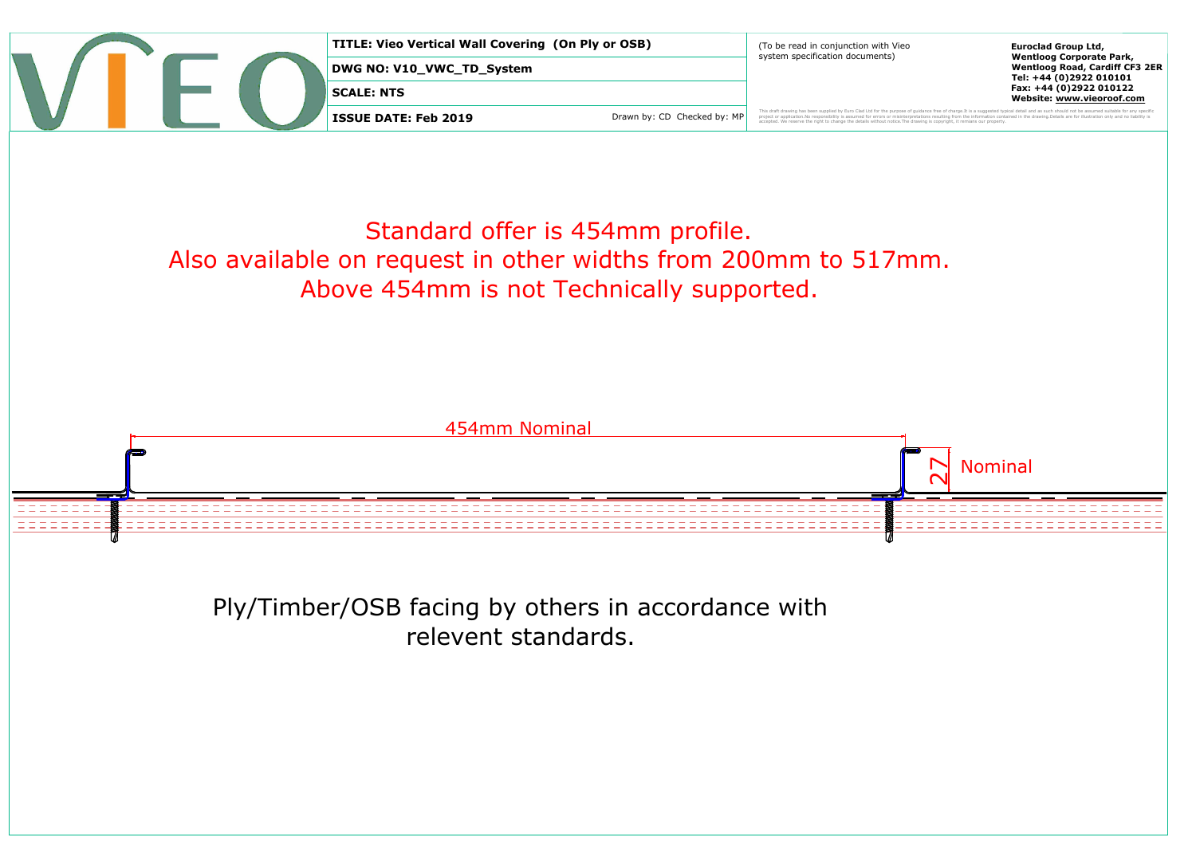

TITLE: View Value Wall Covering (On Ply or OSB)<br>
DEVELOCITY COVERAGE INTERNATIONAL CONTROL SYSTEM STATE THE SURFERING CONTROL STATE THE SURFERING CONTROL CONTROL CONTROL CONTROL CONTROL CONTROL CONTROL CONTROL CONTROL CONT

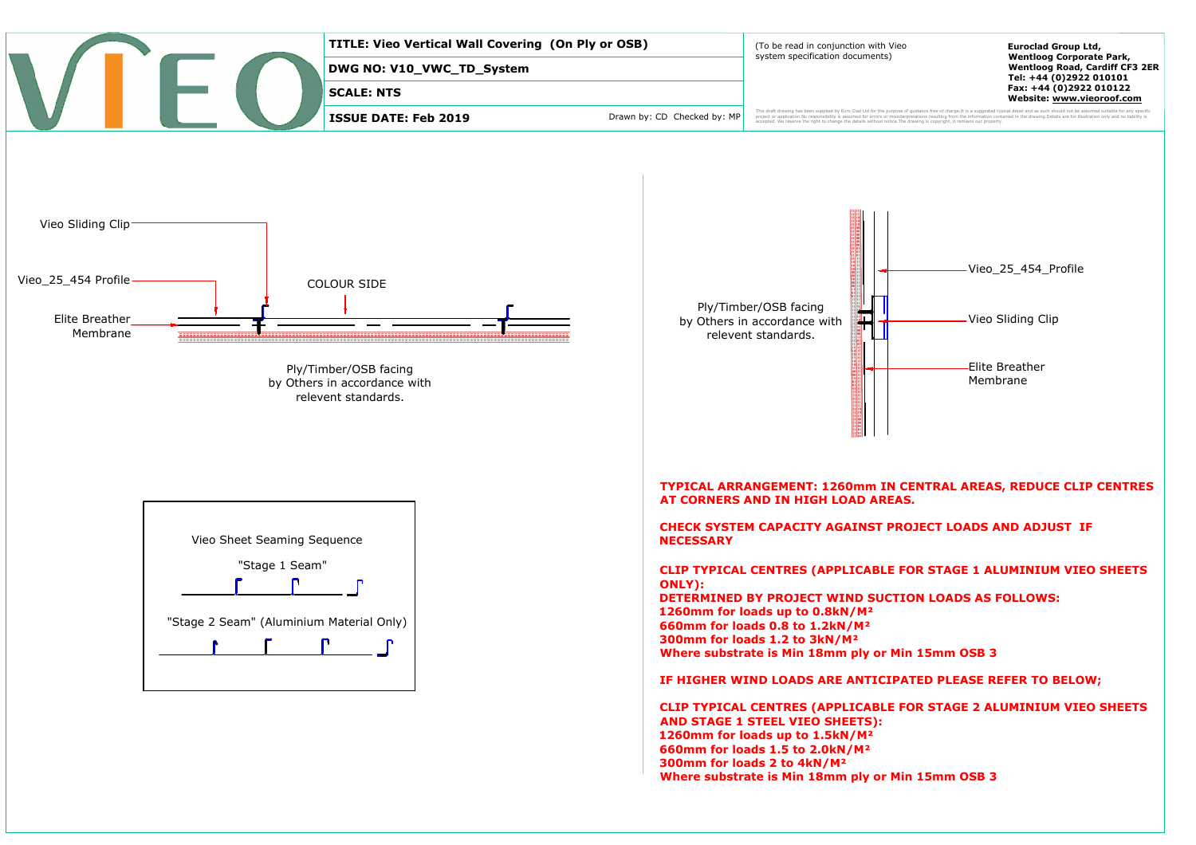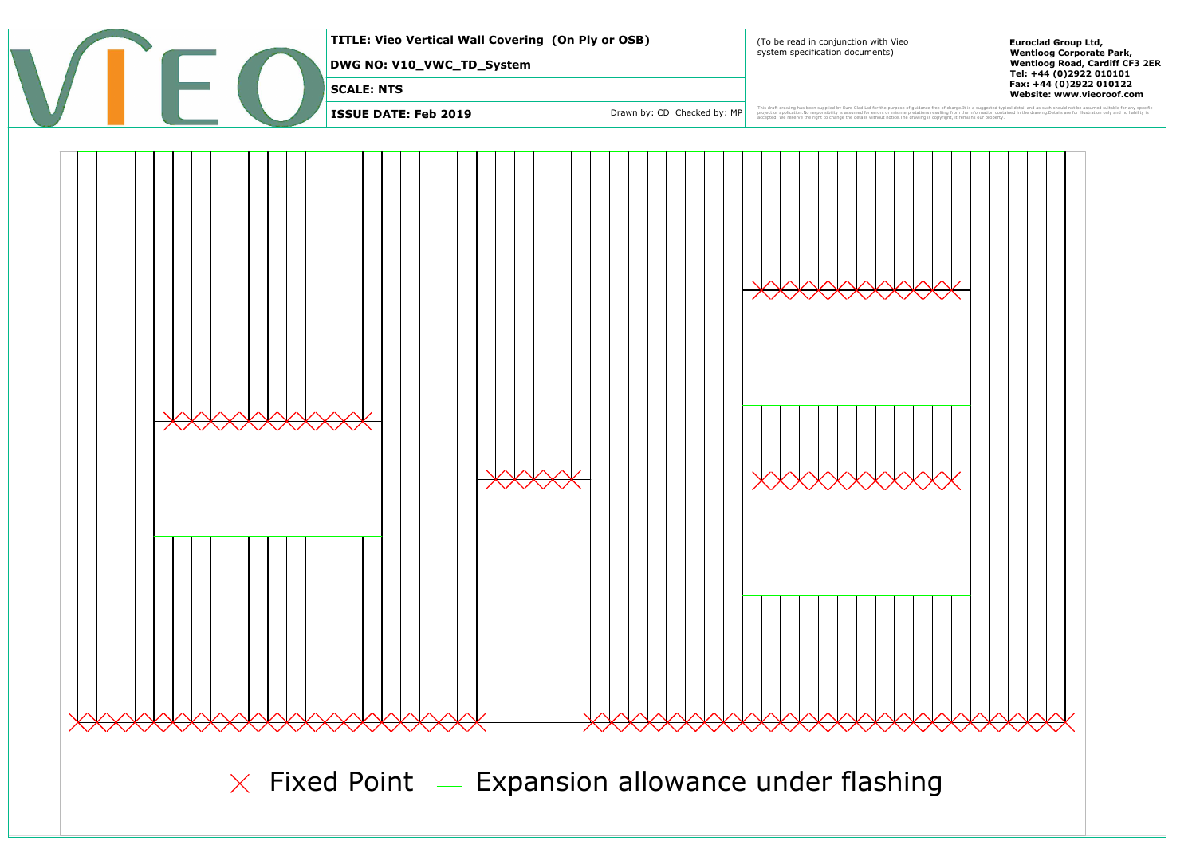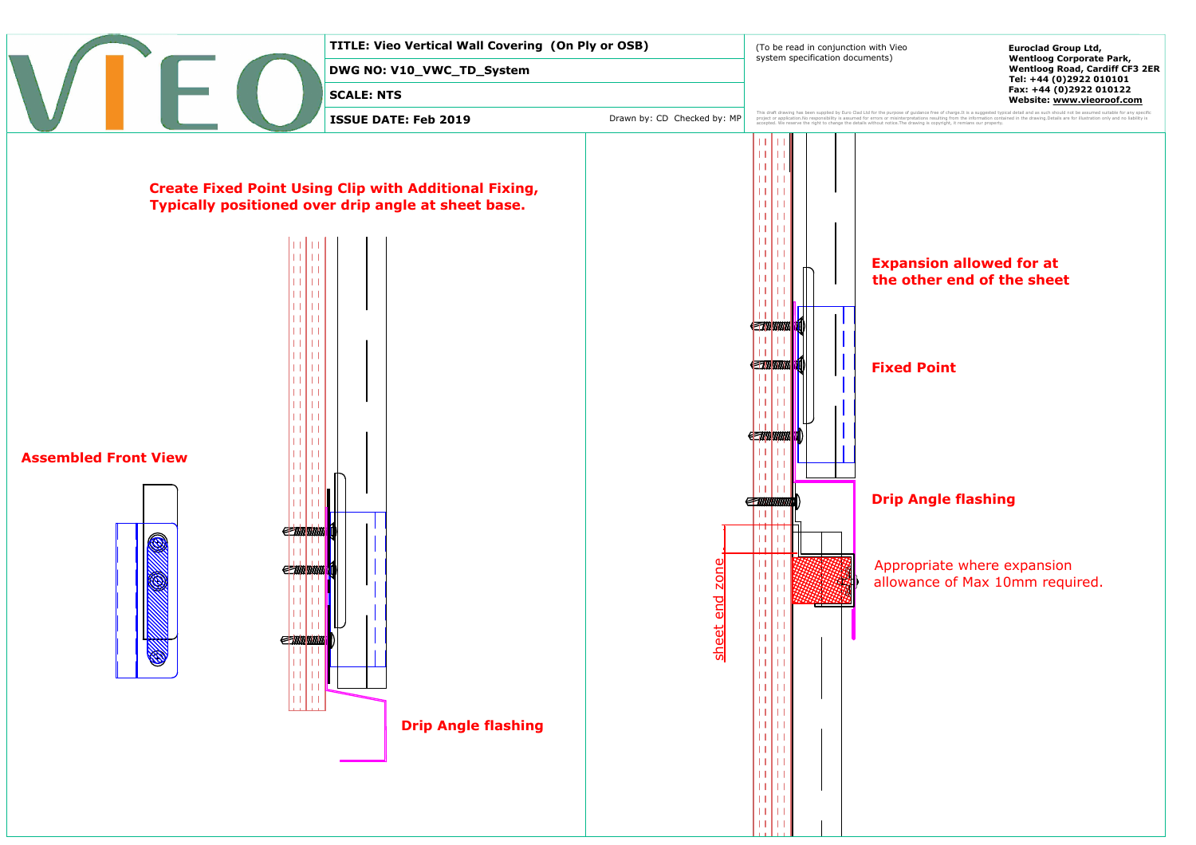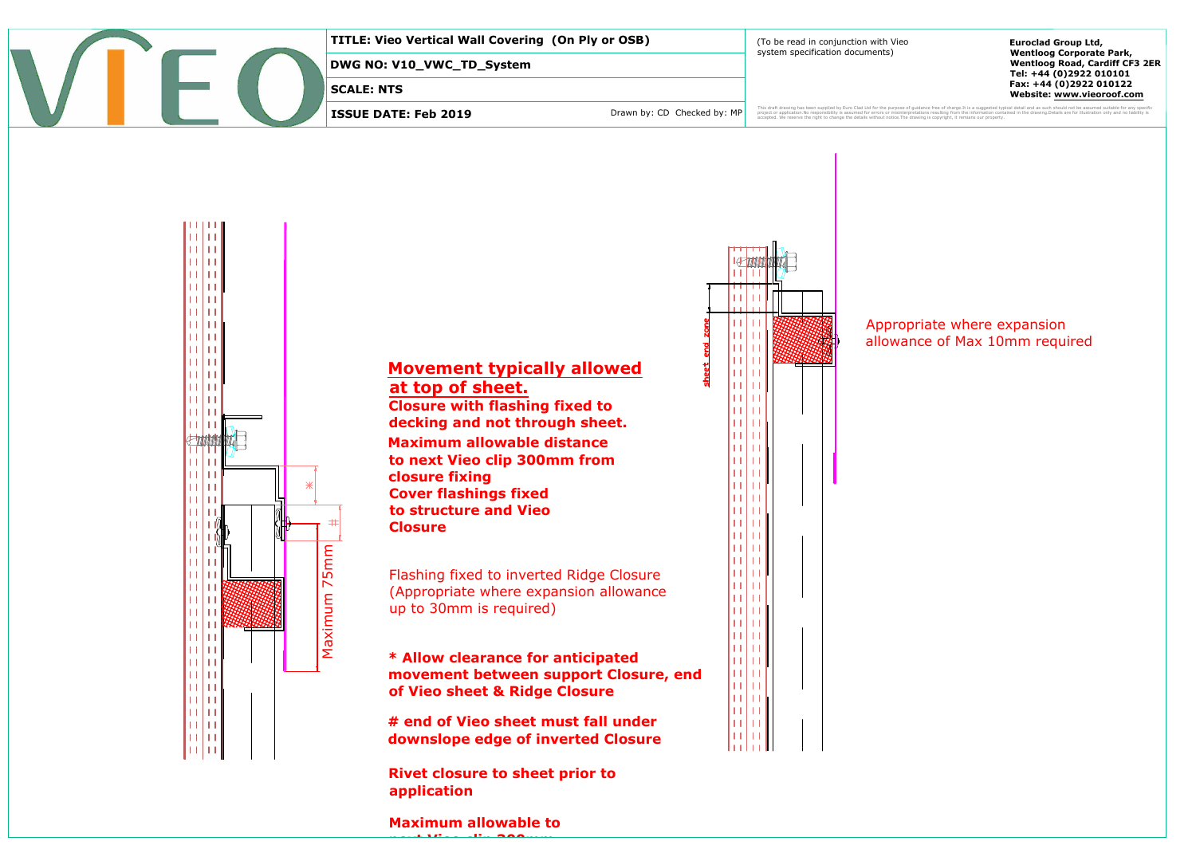





## Appropriate where expansion<br>allowance of Max 10mm required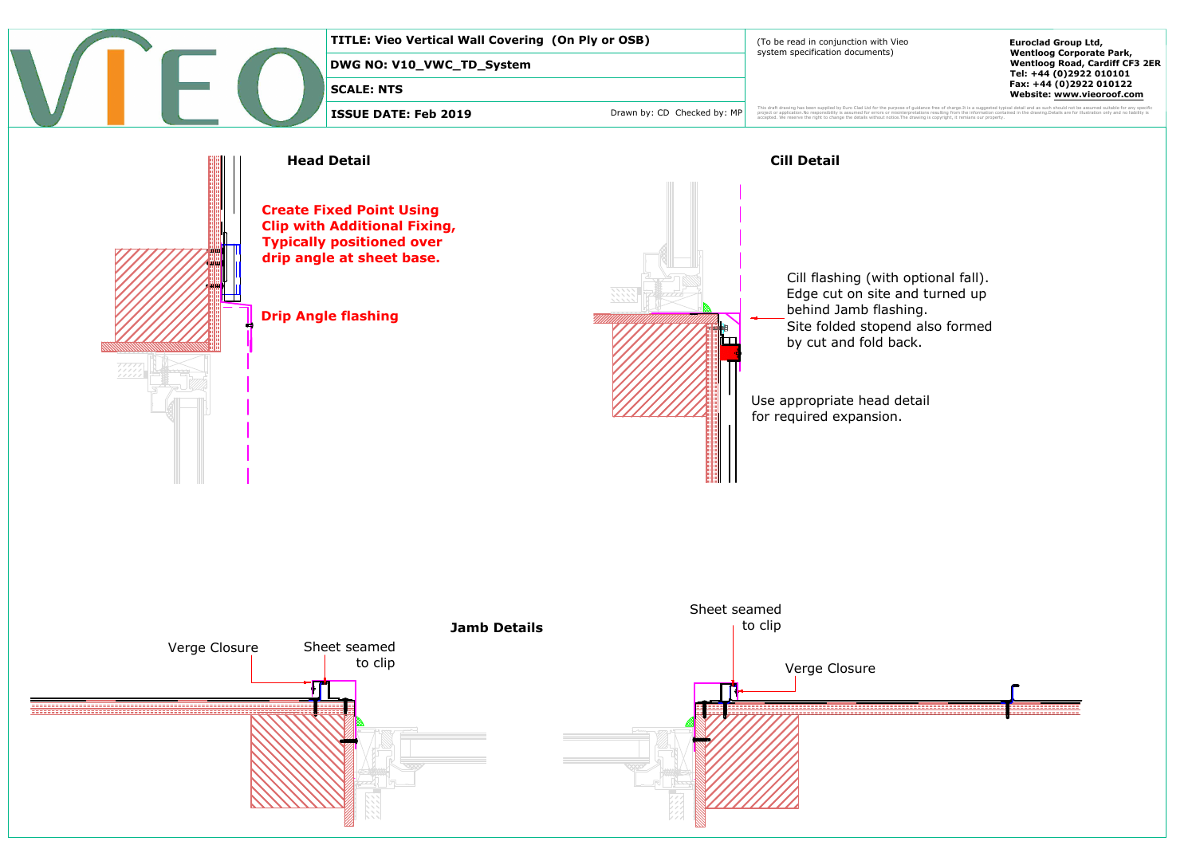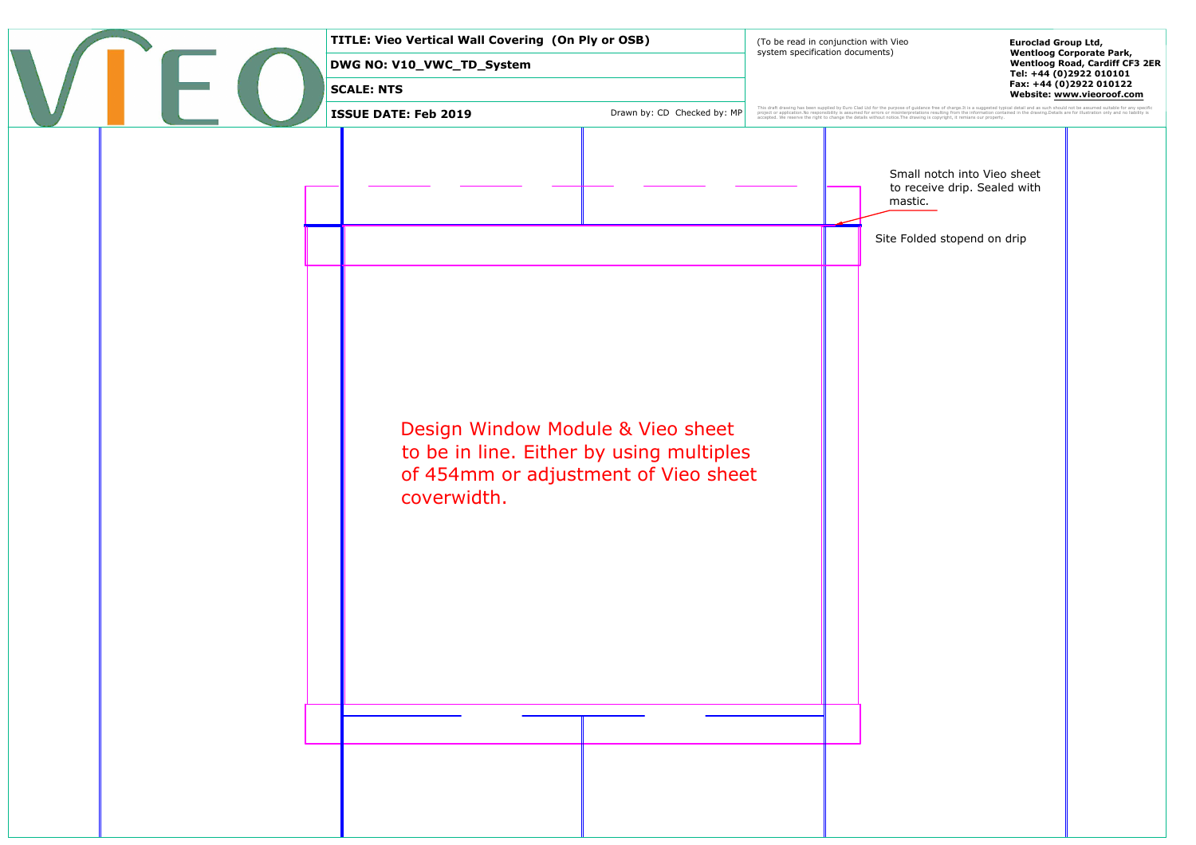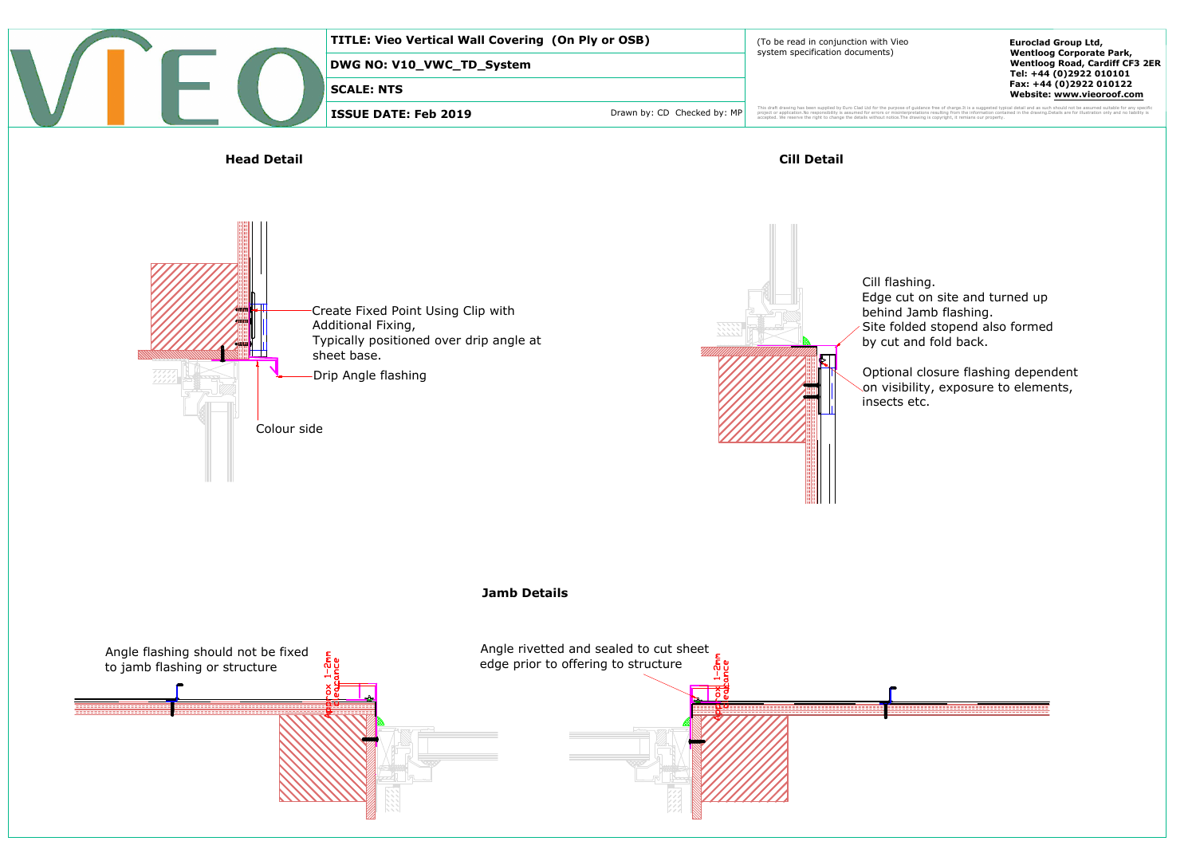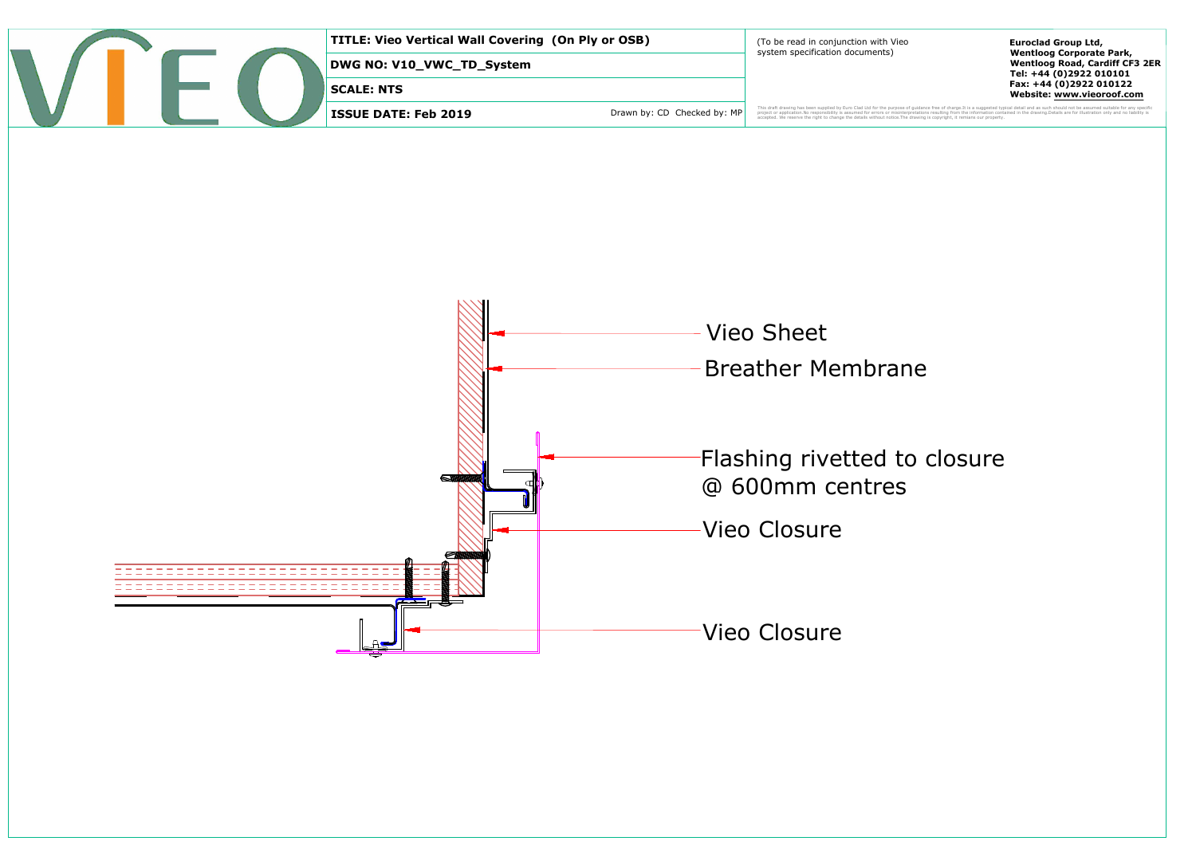|  |  |  | TITLE: Vieo Vertical Wall Covering (On Ply or OSB) |                             | (To be read in conjunction with Vieo<br>system specification documents)                                                                                                                                | <b>Euroclad Group Ltd,</b><br><b>Wentloog Corporate Park,</b>    |
|--|--|--|----------------------------------------------------|-----------------------------|--------------------------------------------------------------------------------------------------------------------------------------------------------------------------------------------------------|------------------------------------------------------------------|
|  |  |  | DWG NO: V10_VWC_TD_System                          |                             |                                                                                                                                                                                                        | <b>Wentloog Road, Cardiff CF3 2ER</b><br>Tel: +44 (0)2922 010101 |
|  |  |  | SCALE: NTS                                         |                             |                                                                                                                                                                                                        | Fax: +44 (0)2922 010122<br>Website: www.vieoroof.com             |
|  |  |  | ISSUE DATE: Feb 2019                               | Drawn by: CD Checked by: MP | ontained in the drawing. Details are for illustration only and no liability<br>accepted. We reserve the right to change the details without notice. The drawing is copyright, it remians our property. |                                                                  |

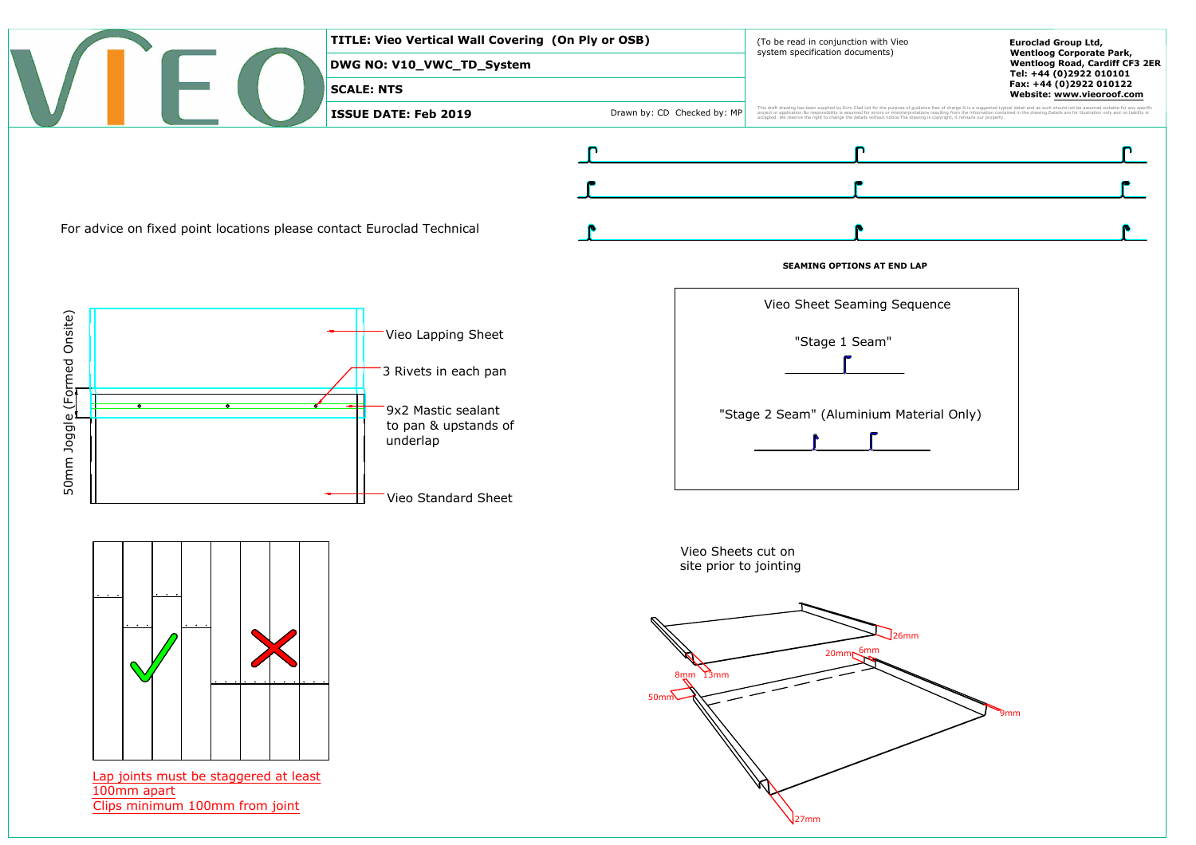